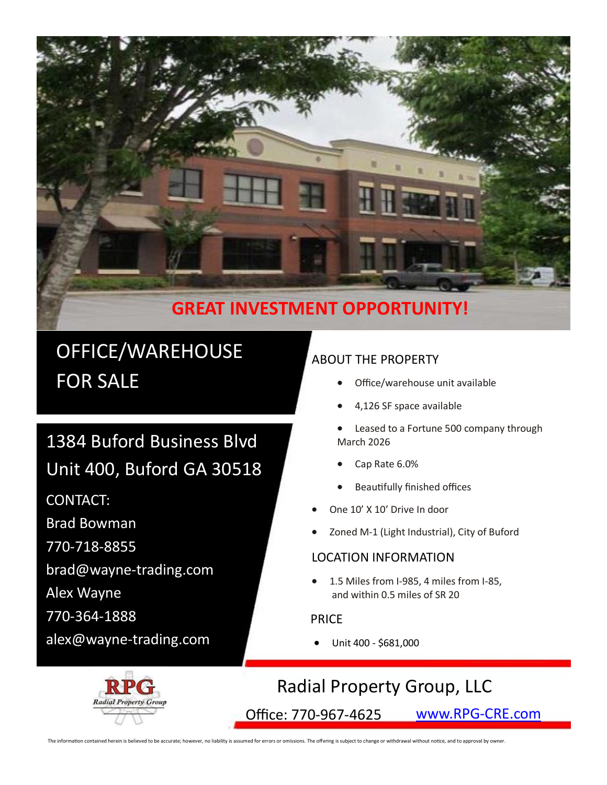

## **GREAT INVESTMENT OPPORTUNITY!**

# OFFICE/WAREHOUSE FOR SALE

# 1384 Buford Business Blvd Unit 400, Buford GA 30518

CONTACT:

Brad Bowman

770-718-8855

brad@wayne-trading.com

Alex Wayne

770-364-1888

alex@wayne-trading.com

## ABOUT THE PROPERTY

- Office/warehouse unit available
- 4,126 SF space available
- Leased to a Fortune 500 company through March 2026
- Cap Rate 6.0%
- Beautifully finished offices
- One 10' X 10' Drive In door
- Zoned M-1 (Light Industrial), City of Buford

#### LOCATION INFORMATION

 1.5 Miles from I-985, 4 miles from I-85, and within 0.5 miles of SR 20

#### PRICE

Unit 400 - \$681,000

## Radial Property Group, LLC

Office: 770-967-4625 [www.RPG](http://www.RPG-CRE.com)-CRE.com

The information contained herein is believed to be accurate; however, no liability is assumed for errors or omissions. The offering is subject to change or withdrawal without notice, and to approval by owner.